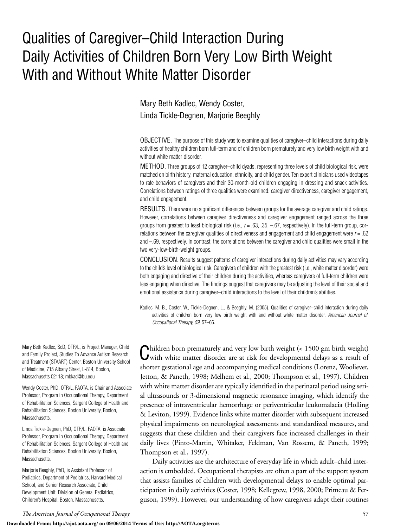## Qualities of Caregiver–Child Interaction During Daily Activities of Children Born Very Low Birth Weight With and Without White Matter Disorder

Mary Beth Kadlec, Wendy Coster, Linda Tickle-Degnen, Marjorie Beeghly

OBJECTIVE. The purpose of this study was to examine qualities of caregiver–child interactions during daily activities of healthy children born full-term and of children born prematurely and very low birth weight with and without white matter disorder.

METHOD. Three groups of 12 caregiver–child dyads, representing three levels of child biological risk, were matched on birth history, maternal education, ethnicity, and child gender. Ten expert clinicians used videotapes to rate behaviors of caregivers and their 30-month-old children engaging in dressing and snack activities. Correlations between ratings of three qualities were examined: caregiver directiveness, caregiver engagement, and child engagement.

RESULTS. There were no significant differences between groups for the average caregiver and child ratings. However, correlations between caregiver directiveness and caregiver engagement ranged across the three groups from greatest to least biological risk (i.e., *r* = .63, .35, –.67, respectively). In the full-term group, correlations between the caregiver qualities of directiveness and engagement and child engagement were *r* = .62 and –.69, respectively. In contrast, the correlations between the caregiver and child qualities were small in the two very-low-birth-weight groups.

CONCLUSION. Results suggest patterns of caregiver interactions during daily activities may vary according to the child's level of biological risk. Caregivers of children with the greatest risk (i.e., white matter disorder) were both engaging and directive of their children during the activities, whereas caregivers of full-term children were less engaging when directive. The findings suggest that caregivers may be adjusting the level of their social and emotional assistance during caregiver–child interactions to the level of their children's abilities.

Kadlec, M. B., Coster, W., Tickle-Degnen, L., & Beeghly, M. (2005). Qualities of caregiver–child interaction during daily activities of children born very low birth weight with and without white matter disorder. *American Journal of Occupational Therapy, 59,* 57–66.

Children born prematurely and very low birth weight (< 1500 gm birth weight) with white matter disorder are at risk for developmental delays as a result of shorter gestational age and accompanying medical conditions (Lorenz, Wooliever, Jetton, & Paneth, 1998; Melhem et al., 2000; Thompson et al., 1997). Children with white matter disorder are typically identified in the perinatal period using serial ultrasounds or 3-dimensional magnetic resonance imaging, which identify the presence of intraventricular hemorrhage or periventricular leukomalacia (Holling & Leviton, 1999). Evidence links white matter disorder with subsequent increased physical impairments on neurological assessments and standardized measures, and suggests that these children and their caregivers face increased challenges in their daily lives (Pinto-Martin, Whitaker, Feldman, Van Rossem, & Paneth, 1999; Thompson et al., 1997).

Daily activities are the architecture of everyday life in which adult–child interaction is embedded. Occupational therapists are often a part of the support system that assists families of children with developmental delays to enable optimal participation in daily activities (Coster, 1998; Kellegrew, 1998, 2000; Primeau & Ferguson, 1999). However, our understanding of how caregivers adapt their routines

Mary Beth Kadlec, ScD, OTR/L, is Project Manager, Child and Family Project, Studies To Advance Autism Research and Treatment (STAART) Center, Boston University School of Medicine, 715 Albany Street, L-814, Boston, Massachusetts 02118; mbkad@bu.edu

Wendy Coster, PhD, OTR/L, FAOTA, is Chair and Associate Professor, Program in Occupational Therapy, Department of Rehabilitation Sciences, Sargent College of Health and Rehabilitation Sciences, Boston University, Boston, **Massachusetts** 

Linda Tickle-Degnen, PhD, OTR/L, FAOTA, is Associate Professor, Program in Occupational Therapy, Department of Rehabilitation Sciences, Sargent College of Health and Rehabilitation Sciences, Boston University, Boston, Massachusetts.

Marjorie Beeghly, PhD, is Assistant Professor of Pediatrics, Department of Pediatrics, Harvard Medical School, and Senior Research Associate, Child Development Unit, Division of General Pediatrics, Children's Hospital, Boston, Massachusetts.

*The American Journal of Occupational Therapy* 57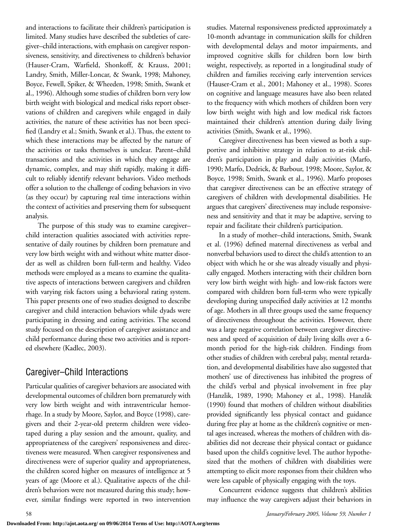and interactions to facilitate their children's participation is limited. Many studies have described the subtleties of caregiver–child interactions, with emphasis on caregiver responsiveness, sensitivity, and directiveness to children's behavior (Hauser-Cram, Warfield, Shonkoff, & Krauss, 2001; Landry, Smith, Miller-Loncar, & Swank, 1998; Mahoney, Boyce, Fewell, Spiker, & Wheeden, 1998; Smith, Swank et al., 1996). Although some studies of children born very low birth weight with biological and medical risks report observations of children and caregivers while engaged in daily activities, the nature of these activities has not been specified (Landry et al.; Smith, Swank et al.). Thus, the extent to which these interactions may be affected by the nature of the activities or tasks themselves is unclear. Parent–child transactions and the activities in which they engage are dynamic, complex, and may shift rapidly, making it difficult to reliably identify relevant behaviors. Video methods offer a solution to the challenge of coding behaviors in vivo (as they occur) by capturing real time interactions within the context of activities and preserving them for subsequent analysis.

The purpose of this study was to examine caregiver– child interaction qualities associated with activities representative of daily routines by children born premature and very low birth weight with and without white matter disorder as well as children born full-term and healthy. Video methods were employed as a means to examine the qualitative aspects of interactions between caregivers and children with varying risk factors using a behavioral rating system. This paper presents one of two studies designed to describe caregiver and child interaction behaviors while dyads were participating in dressing and eating activities. The second study focused on the description of caregiver assistance and child performance during these two activities and is reported elsewhere (Kadlec, 2003).

## Caregiver–Child Interactions

Particular qualities of caregiver behaviors are associated with developmental outcomes of children born prematurely with very low birth weight and with intraventricular hemorrhage. In a study by Moore, Saylor, and Boyce (1998), caregivers and their 2-year-old preterm children were videotaped during a play session and the amount, quality, and appropriateness of the caregivers' responsiveness and directiveness were measured. When caregiver responsiveness and directiveness were of superior quality and appropriateness, the children scored higher on measures of intelligence at 5 years of age (Moore et al.). Qualitative aspects of the children's behaviors were not measured during this study; however, similar findings were reported in two intervention

studies. Maternal responsiveness predicted approximately a 10-month advantage in communication skills for children with developmental delays and motor impairments, and improved cognitive skills for children born low birth weight, respectively, as reported in a longitudinal study of children and families receiving early intervention services (Hauser-Cram et al., 2001; Mahoney et al., 1998). Scores on cognitive and language measures have also been related to the frequency with which mothers of children born very low birth weight with high and low medical risk factors maintained their children's attention during daily living activities (Smith, Swank et al., 1996).

Caregiver directiveness has been viewed as both a supportive and inhibitive strategy in relation to at-risk children's participation in play and daily activities (Marfo, 1990; Marfo, Dedrick, & Barbour, 1998; Moore, Saylor, & Boyce, 1998; Smith, Swank et al., 1996). Marfo proposes that caregiver directiveness can be an effective strategy of caregivers of children with developmental disabilities. He argues that caregivers' directiveness may include responsiveness and sensitivity and that it may be adaptive, serving to repair and facilitate their children's participation.

In a study of mother–child interactions, Smith, Swank et al. (1996) defined maternal directiveness as verbal and nonverbal behaviors used to direct the child's attention to an object with which he or she was already visually and physically engaged. Mothers interacting with their children born very low birth weight with high- and low-risk factors were compared with children born full-term who were typically developing during unspecified daily activities at 12 months of age. Mothers in all three groups used the same frequency of directiveness throughout the activities. However, there was a large negative correlation between caregiver directiveness and speed of acquisition of daily living skills over a 6 month period for the high-risk children. Findings from other studies of children with cerebral palsy, mental retardation, and developmental disabilities have also suggested that mothers' use of directiveness has inhibited the progress of the child's verbal and physical involvement in free play (Hanzlik, 1989, 1990; Mahoney et al., 1998). Hanzlik (1990) found that mothers of children without disabilities provided significantly less physical contact and guidance during free play at home as the children's cognitive or mental ages increased, whereas the mothers of children with disabilities did not decrease their physical contact or guidance based upon the child's cognitive level. The author hypothesized that the mothers of children with disabilities were attempting to elicit more responses from their children who were less capable of physically engaging with the toys.

Concurrent evidence suggests that children's abilities may influence the way caregivers adjust their behaviors in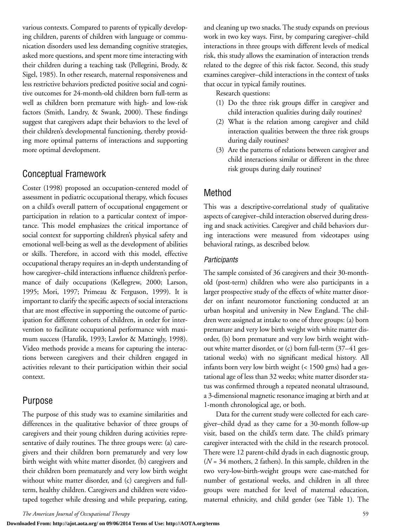various contexts. Compared to parents of typically developing children, parents of children with language or communication disorders used less demanding cognitive strategies, asked more questions, and spent more time interacting with their children during a teaching task (Pellegrini, Brody, & Sigel, 1985). In other research, maternal responsiveness and less restrictive behaviors predicted positive social and cognitive outcomes for 24-month-old children born full-term as well as children born premature with high- and low-risk factors (Smith, Landry, & Swank, 2000). These findings suggest that caregivers adapt their behaviors to the level of their children's developmental functioning, thereby providing more optimal patterns of interactions and supporting more optimal development.

### Conceptual Framework

Coster (1998) proposed an occupation-centered model of assessment in pediatric occupational therapy, which focuses on a child's overall pattern of occupational engagement or participation in relation to a particular context of importance. This model emphasizes the critical importance of social context for supporting children's physical safety and emotional well-being as well as the development of abilities or skills. Therefore, in accord with this model, effective occupational therapy requires an in-depth understanding of how caregiver–child interactions influence children's performance of daily occupations (Kellegrew, 2000; Larson, 1995; Mori, 1997; Primeau & Ferguson, 1999). It is important to clarify the specific aspects of social interactions that are most effective in supporting the outcome of participation for different cohorts of children, in order for intervention to facilitate occupational performance with maximum success (Hanzlik, 1993; Lawlor & Mattingly, 1998). Video methods provide a means for capturing the interactions between caregivers and their children engaged in activities relevant to their participation within their social context.

## Purpose

The purpose of this study was to examine similarities and differences in the qualitative behavior of three groups of caregivers and their young children during activities representative of daily routines. The three groups were: (a) caregivers and their children born prematurely and very low birth weight with white matter disorder, (b) caregivers and their children born prematurely and very low birth weight without white matter disorder, and (c) caregivers and fullterm, healthy children. Caregivers and children were videotaped together while dressing and while preparing, eating,

and cleaning up two snacks. The study expands on previous work in two key ways. First, by comparing caregiver–child interactions in three groups with different levels of medical risk, this study allows the examination of interaction trends related to the degree of this risk factor. Second, this study examines caregiver–child interactions in the context of tasks that occur in typical family routines.

Research questions:

- (1) Do the three risk groups differ in caregiver and child interaction qualities during daily routines?
- (2) What is the relation among caregiver and child interaction qualities between the three risk groups during daily routines?
- (3) Are the patterns of relations between caregiver and child interactions similar or different in the three risk groups during daily routines?

## Method

This was a descriptive-correlational study of qualitative aspects of caregiver–child interaction observed during dressing and snack activities. Caregiver and child behaviors during interactions were measured from videotapes using behavioral ratings, as described below.

#### *Participants*

The sample consisted of 36 caregivers and their 30-monthold (post-term) children who were also participants in a larger prospective study of the effects of white matter disorder on infant neuromotor functioning conducted at an urban hospital and university in New England. The children were assigned at intake to one of three groups: (a) born premature and very low birth weight with white matter disorder, (b) born premature and very low birth weight without white matter disorder, or (c) born full-term (37–41 gestational weeks) with no significant medical history. All infants born very low birth weight (< 1500 gms) had a gestational age of less than 32 weeks; white matter disorder status was confirmed through a repeated neonatal ultrasound, a 3-dimensional magnetic resonance imaging at birth and at 1-month chronological age, or both.

Data for the current study were collected for each caregiver–child dyad as they came for a 30-month follow-up visit, based on the child's term date. The child's primary caregiver interacted with the child in the research protocol. There were 12 parent-child dyads in each diagnostic group, (*N* = 34 mothers, 2 fathers). In this sample, children in the two very-low-birth-weight groups were case-matched for number of gestational weeks, and children in all three groups were matched for level of maternal education, maternal ethnicity, and child gender (see Table 1). The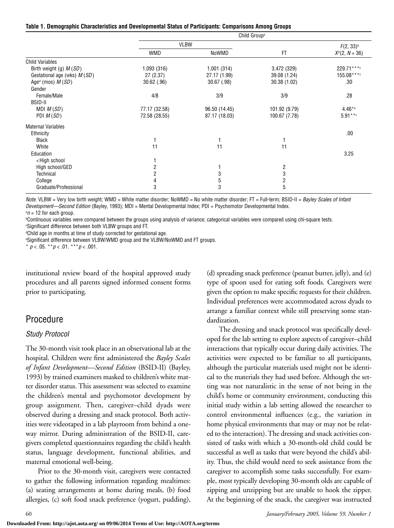|  | Table 1. Demographic Characteristics and Developmental Status of Participants: Comparisons Among Groups |  |  |  |  |
|--|---------------------------------------------------------------------------------------------------------|--|--|--|--|
|  |                                                                                                         |  |  |  |  |

|                                                                    | Child Group <sup>a</sup> |               |                         |                  |  |
|--------------------------------------------------------------------|--------------------------|---------------|-------------------------|------------------|--|
|                                                                    |                          | <b>VLBW</b>   |                         | $F(2, 33)^{b}$   |  |
|                                                                    | <b>WMD</b>               | NoWMD         | FT                      | $X^2(2, N = 36)$ |  |
| <b>Child Variables</b>                                             |                          |               |                         |                  |  |
| Birth weight (g) M (SD)                                            | 1,093 (316)              | 1,001(314)    | 3,472 (329)             | 229.71 ****      |  |
| Gestational age (wks) $M(SD)$                                      | 27 (2.37)                | 27.17 (1.99)  | 39.08 (1.24)            | 155.08****       |  |
| Age <sup>d</sup> (mos) $M(SD)$                                     | $30.62$ (.96)            | 30.67 (.98)   | 30.38 (1.02)            | .30              |  |
| Gender                                                             |                          |               |                         |                  |  |
| Female/Male                                                        | 4/8                      | 3/9           | 3/9                     | .28              |  |
| <b>BSID-II</b>                                                     |                          |               |                         |                  |  |
| MDI $M(SD)$                                                        | 77.17 (32.58)            | 96.50 (14.45) | 101.92 (9.79)           | $4.46*$          |  |
| PDI $M(SD)$                                                        | 72.58 (28.55)            | 87.17 (18.03) | 100.67 (7.78)           | $5.91***$        |  |
| <b>Maternal Variables</b>                                          |                          |               |                         |                  |  |
| Ethnicity                                                          |                          |               |                         | .00              |  |
| <b>Black</b>                                                       |                          |               |                         |                  |  |
| White                                                              | 11                       | 11            | 11                      |                  |  |
| Education                                                          |                          |               |                         | 3.25             |  |
| <high school<="" td=""><td></td><td></td><td></td><td></td></high> |                          |               |                         |                  |  |
| High school/GED                                                    | 2                        |               | $\overline{\mathbf{c}}$ |                  |  |
| Technical                                                          | $\overline{c}$           | 3             | 3                       |                  |  |
| College                                                            | 4                        | 5             | $\overline{2}$          |                  |  |
| Graduate/Professional                                              | 3                        | 3             | 5                       |                  |  |

*Note.* VLBW = Very low birth weight; WMD = White matter disorder; NoWMD = No white matter disorder; FT = Full-term; BSID-II = *Bayley Scales of Infant Development—Second Edition* (Bayley, 1993); MDI = Mental Developmental Index; PDI = Psychomotor Developmental Index.

<sup>a</sup>n = 12 for each group.<br>**bContinuous variables** w Continuous variables were compared between the groups using analysis of variance; categorical variables were compared using chi-square tests.

c Significant difference between both VLBW groups and FT. d Child age in months at time of study corrected for gestational age.

e Significant difference between VLBW/WMD group and the VLBW/NoWMD and FT groups.

\* *p* < .05. \*\**p* < .01. \*\*\**p* < .001.

institutional review board of the hospital approved study procedures and all parents signed informed consent forms prior to participating.

## Procedure

#### *Study Protocol*

The 30-month visit took place in an observational lab at the hospital. Children were first administered the *Bayley Scales of Infant Development—Second Edition* (BSID-II) (Bayley, 1993) by trained examiners masked to children's white matter disorder status. This assessment was selected to examine the children's mental and psychomotor development by group assignment. Then, caregiver–child dyads were observed during a dressing and snack protocol. Both activities were videotaped in a lab playroom from behind a oneway mirror. During administration of the BSID-II, caregivers completed questionnaires regarding the child's health status, language development, functional abilities, and maternal emotional well-being.

Prior to the 30-month visit, caregivers were contacted to gather the following information regarding mealtimes: (a) seating arrangements at home during meals, (b) food allergies, (c) soft food snack preference (yogurt, pudding), (d) spreading snack preference (peanut butter, jelly), and (e) type of spoon used for eating soft foods. Caregivers were given the option to make specific requests for their children. Individual preferences were accommodated across dyads to arrange a familiar context while still preserving some standardization.

The dressing and snack protocol was specifically developed for the lab setting to explore aspects of caregiver–child interactions that typically occur during daily activities. The activities were expected to be familiar to all participants, although the particular materials used might not be identical to the materials they had used before. Although the setting was not naturalistic in the sense of not being in the child's home or community environment, conducting this initial study within a lab setting allowed the researcher to control environmental influences (e.g., the variation in home physical environments that may or may not be related to the interaction). The dressing and snack activities consisted of tasks with which a 30-month-old child could be successful as well as tasks that were beyond the child's ability. Thus, the child would need to seek assistance from the caregiver to accomplish some tasks successfully. For example, most typically developing 30-month olds are capable of zipping and unzipping but are unable to hook the zipper. At the beginning of the snack, the caregiver was instructed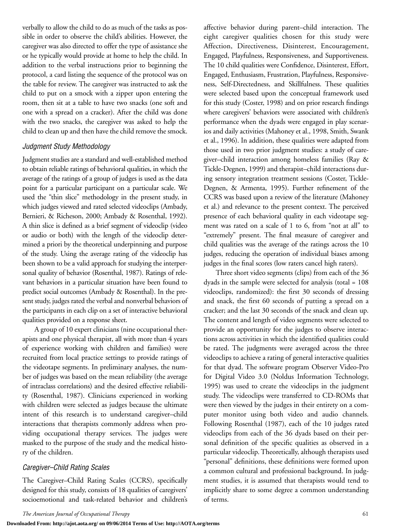verbally to allow the child to do as much of the tasks as possible in order to observe the child's abilities. However, the caregiver was also directed to offer the type of assistance she or he typically would provide at home to help the child. In addition to the verbal instructions prior to beginning the protocol, a card listing the sequence of the protocol was on the table for review. The caregiver was instructed to ask the child to put on a smock with a zipper upon entering the room, then sit at a table to have two snacks (one soft and one with a spread on a cracker). After the child was done with the two snacks, the caregiver was asked to help the child to clean up and then have the child remove the smock.

#### *Judgment Study Methodology*

Judgment studies are a standard and well-established method to obtain reliable ratings of behavioral qualities, in which the average of the ratings of a group of judges is used as the data point for a particular participant on a particular scale. We used the "thin slice" methodology in the present study, in which judges viewed and rated selected videoclips (Ambady, Bernieri, & Richeson, 2000; Ambady & Rosenthal, 1992). A thin slice is defined as a brief segment of videoclip (video or audio or both) with the length of the videoclip determined a priori by the theoretical underpinning and purpose of the study. Using the average rating of the videoclip has been shown to be a valid approach for studying the interpersonal quality of behavior (Rosenthal, 1987). Ratings of relevant behaviors in a particular situation have been found to predict social outcomes (Ambady & Rosenthal). In the present study, judges rated the verbal and nonverbal behaviors of the participants in each clip on a set of interactive behavioral qualities provided on a response sheet.

A group of 10 expert clinicians (nine occupational therapists and one physical therapist, all with more than 4 years of experience working with children and families) were recruited from local practice settings to provide ratings of the videotape segments. In preliminary analyses, the number of judges was based on the mean reliability (the average of intraclass correlations) and the desired effective reliability (Rosenthal, 1987). Clinicians experienced in working with children were selected as judges because the ultimate intent of this research is to understand caregiver–child interactions that therapists commonly address when providing occupational therapy services. The judges were masked to the purpose of the study and the medical history of the children.

#### *Caregiver–Child Rating Scales*

The Caregiver–Child Rating Scales (CCRS), specifically designed for this study, consists of 18 qualities of caregivers' socioemotional and task-related behavior and children's

affective behavior during parent–child interaction. The eight caregiver qualities chosen for this study were Affection, Directiveness, Disinterest, Encouragement, Engaged, Playfulness, Responsiveness, and Supportiveness. The 10 child qualities were Confidence, Disinterest, Effort, Engaged, Enthusiasm, Frustration, Playfulness, Responsiveness, Self-Directedness, and Skillfulness. These qualities were selected based upon the conceptual framework used for this study (Coster, 1998) and on prior research findings where caregivers' behaviors were associated with children's performance when the dyads were engaged in play scenarios and daily activities (Mahoney et al., 1998, Smith, Swank et al., 1996). In addition, these qualities were adapted from those used in two prior judgment studies: a study of caregiver–child interaction among homeless families (Ray & Tickle-Degnen, 1999) and therapist–child interactions during sensory integration treatment sessions (Coster, Tickle-Degnen, & Armenta, 1995). Further refinement of the CCRS was based upon a review of the literature (Mahoney et al.) and relevance to the present context. The perceived presence of each behavioral quality in each videotape segment was rated on a scale of 1 to 6, from "not at all" to "extremely" present. The final measure of caregiver and child qualities was the average of the ratings across the 10 judges, reducing the operation of individual biases among judges in the final scores (low raters cancel high raters).

Three short video segments (clips) from each of the 36 dyads in the sample were selected for analysis (total = 108 videoclips, randomized): the first 30 seconds of dressing and snack, the first 60 seconds of putting a spread on a cracker; and the last 30 seconds of the snack and clean up. The content and length of video segments were selected to provide an opportunity for the judges to observe interactions across activities in which the identified qualities could be rated. The judgments were averaged across the three videoclips to achieve a rating of general interactive qualities for that dyad. The software program Observer Video-Pro for Digital Video 3.0 (Noldus Information Technology, 1995) was used to create the videoclips in the judgment study. The videoclips were transferred to CD-ROMs that were then viewed by the judges in their entirety on a computer monitor using both video and audio channels. Following Rosenthal (1987), each of the 10 judges rated videoclips from each of the 36 dyads based on their personal definition of the specific qualities as observed in a particular videoclip. Theoretically, although therapists used "personal" definitions, these definitions were formed upon a common cultural and professional background. In judgment studies, it is assumed that therapists would tend to implicitly share to some degree a common understanding of terms.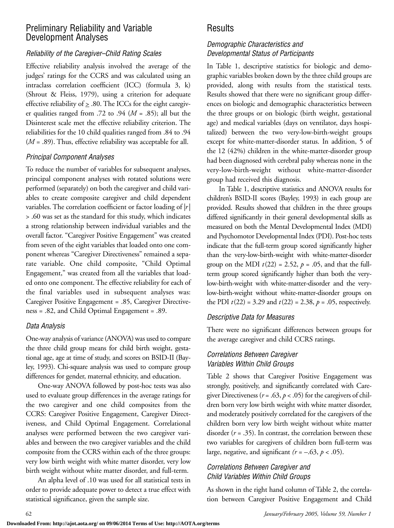## Preliminary Reliability and Variable Development Analyses

#### *Reliability of the Caregiver–Child Rating Scales*

Effective reliability analysis involved the average of the judges' ratings for the CCRS and was calculated using an intraclass correlation coefficient (ICC) (formula 3, k) (Shrout & Fleiss, 1979), using a criterion for adequate effective reliability of  $\geq$  .80. The ICCs for the eight caregiver qualities ranged from .72 to .94 ( $M = .85$ ); all but the Disinterest scale met the effective reliability criterion. The reliabilities for the 10 child qualities ranged from .84 to .94 (*M* = .89). Thus, effective reliability was acceptable for all.

#### *Principal Component Analyses*

To reduce the number of variables for subsequent analyses, principal component analyses with rotated solutions were performed (separately) on both the caregiver and child variables to create composite caregiver and child dependent variables. The correlation coefficient or factor loading of |*r*| > .60 was set as the standard for this study, which indicates a strong relationship between individual variables and the overall factor. "Caregiver Positive Engagement" was created from seven of the eight variables that loaded onto one component whereas "Caregiver Directiveness" remained a separate variable. One child composite, "Child Optimal Engagement," was created from all the variables that loaded onto one component. The effective reliability for each of the final variables used in subsequent analyses was: Caregiver Positive Engagement = .85, Caregiver Directiveness = .82, and Child Optimal Engagement = .89.

#### *Data Analysis*

One-way analysis of variance (ANOVA) was used to compare the three child group means for child birth weight, gestational age, age at time of study, and scores on BSID-II (Bayley, 1993). Chi-square analysis was used to compare group differences for gender, maternal ethnicity, and education.

One-way ANOVA followed by post-hoc tests was also used to evaluate group differences in the average ratings for the two caregiver and one child composites from the CCRS: Caregiver Positive Engagement, Caregiver Directiveness, and Child Optimal Engagement. Correlational analyses were performed between the two caregiver variables and between the two caregiver variables and the child composite from the CCRS within each of the three groups: very low birth weight with white matter disorder, very low birth weight without white matter disorder, and full-term.

An alpha level of .10 was used for all statistical tests in order to provide adequate power to detect a true effect with statistical significance, given the sample size.

## Results

#### *Demographic Characteristics and Developmental Status of Participants*

In Table 1, descriptive statistics for biologic and demographic variables broken down by the three child groups are provided, along with results from the statistical tests. Results showed that there were no significant group differences on biologic and demographic characteristics between the three groups or on biologic (birth weight, gestational age) and medical variables (days on ventilator, days hospitalized) between the two very-low-birth-weight groups except for white-matter-disorder status. In addition, 5 of the 12 (42%) children in the white-matter-disorder group had been diagnosed with cerebral palsy whereas none in the very-low-birth-weight without white-matter-disorder group had received this diagnosis.

In Table 1, descriptive statistics and ANOVA results for children's BSID-II scores (Bayley, 1993) in each group are provided. Results showed that children in the three groups differed significantly in their general developmental skills as measured on both the Mental Developmental Index (MDI) and Psychomotor Developmental Index (PDI). Post-hoc tests indicate that the full-term group scored significantly higher than the very-low-birth-weight with white-matter-disorder group on the MDI  $t(22) = 2.52$ ,  $p = .05$ , and that the fullterm group scored significantly higher than both the verylow-birth-weight with white-matter-disorder and the verylow-birth-weight without white-matter-disorder groups on the PDI  $t(22) = 3.29$  and  $t(22) = 2.38$ ,  $p = .05$ , respectively.

#### *Descriptive Data for Measures*

There were no significant differences between groups for the average caregiver and child CCRS ratings.

#### *Correlations Between Caregiver Variables Within Child Groups*

Table 2 shows that Caregiver Positive Engagement was strongly, positively, and significantly correlated with Caregiver Directiveness ( $r = .63$ ,  $p < .05$ ) for the caregivers of children born very low birth weight with white matter disorder, and moderately positively correlated for the caregivers of the children born very low birth weight without white matter disorder  $(r = .35)$ . In contrast, the correlation between these two variables for caregivers of children born full-term was large, negative, and significant  $(r = -.63, p < .05)$ .

#### *Correlations Between Caregiver and Child Variables Within Child Groups*

As shown in the right hand column of Table 2, the correlation between Caregiver Positive Engagement and Child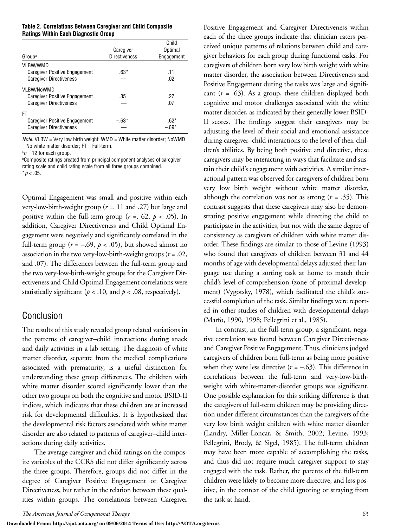| Table 2. Correlations Between Caregiver and Child Composite |  |
|-------------------------------------------------------------|--|
| <b>Ratings Within Each Diagnostic Group</b>                 |  |

|                                |                      | Child      |
|--------------------------------|----------------------|------------|
|                                | Caregiver            | Optimal    |
| Group <sup>a</sup>             | <b>Directiveness</b> | Engagement |
| <b>VLBW/WMD</b>                |                      |            |
| Caregiver Positive Engagement  | $.63*$               | .11        |
| <b>Caregiver Directiveness</b> |                      | .02        |
| VLBW/NoWMD                     |                      |            |
| Caregiver Positive Engagement  | .35                  | .27        |
| <b>Caregiver Directiveness</b> |                      | .07        |
| FT                             |                      |            |
| Caregiver Positive Engagement  | $-63*$               | $.62*$     |
| <b>Caregiver Directiveness</b> |                      | - 69*      |

*Note.* VLBW = Very low birth weight; WMD = White matter disorder; NoWMD  $=$  No white matter disorder; FT  $=$  Full-term.

 $a_n = 12$  for each group.

b Composite ratings created from principal component analyses of caregiver rating scale and child rating scale from all three groups combined.  $*$ *p* < .05.

Optimal Engagement was small and positive within each very-low-birth-weight group (*r* =. 11 and .27) but large and positive within the full-term group ( $r = 62$ ,  $p < 0.05$ ). In addition, Caregiver Directiveness and Child Optimal Engagement were negatively and significantly correlated in the full-term group ( $r = -.69$ ,  $p < .05$ ), but showed almost no association in the two very-low-birth-weight groups (*r* = .02, and .07). The differences between the full-term group and the two very-low-birth-weight groups for the Caregiver Directiveness and Child Optimal Engagement correlations were statistically significant ( $p < .10$ , and  $p < .08$ , respectively).

## Conclusion

The results of this study revealed group related variations in the patterns of caregiver–child interactions during snack and daily activities in a lab setting. The diagnosis of white matter disorder, separate from the medical complications associated with prematurity, is a useful distinction for understanding these group differences. The children with white matter disorder scored significantly lower than the other two groups on both the cognitive and motor BSID-II indices, which indicates that these children are at increased risk for developmental difficulties. It is hypothesized that the developmental risk factors associated with white matter disorder are also related to patterns of caregiver–child interactions during daily activities.

The average caregiver and child ratings on the composite variables of the CCRS did not differ significantly across the three groups. Therefore, groups did not differ in the degree of Caregiver Positive Engagement or Caregiver Directiveness, but rather in the relation between these qualities within groups. The correlations between Caregiver Positive Engagement and Caregiver Directiveness within each of the three groups indicate that clinician raters perceived unique patterns of relations between child and caregiver behaviors for each group during functional tasks. For caregivers of children born very low birth weight with white matter disorder, the association between Directiveness and Positive Engagement during the tasks was large and significant (*r* = .63). As a group, these children displayed both cognitive and motor challenges associated with the white matter disorder, as indicated by their generally lower BSID-II scores. The findings suggest their caregivers may be adjusting the level of their social and emotional assistance during caregiver–child interactions to the level of their children's abilities. By being both positive and directive, these caregivers may be interacting in ways that facilitate and sustain their child's engagement with activities. A similar interactional pattern was observed for caregivers of children born very low birth weight without white matter disorder, although the correlation was not as strong (*r* = .35). This contrast suggests that these caregivers may also be demonstrating positive engagement while directing the child to participate in the activities, but not with the same degree of consistency as caregivers of children with white matter disorder. These findings are similar to those of Levine (1993) who found that caregivers of children between 31 and 44 months of age with developmental delays adjusted their language use during a sorting task at home to match their child's level of comprehension (zone of proximal development) (Vygotsky, 1978), which facilitated the child's successful completion of the task. Similar findings were reported in other studies of children with developmental delays (Marfo, 1990, 1998; Pellegrini et al., 1985).

In contrast, in the full-term group, a significant, negative correlation was found between Caregiver Directiveness and Caregiver Positive Engagement. Thus, clinicians judged caregivers of children born full-term as being more positive when they were less directive  $(r = -.63)$ . This difference in correlations between the full-term and very-low-birthweight with white-matter-disorder groups was significant. One possible explanation for this striking difference is that the caregivers of full-term children may be providing direction under different circumstances than the caregivers of the very low birth weight children with white matter disorder (Landry, Miller-Loncar, & Smith, 2002; Levine, 1993; Pellegrini, Brody, & Sigel, 1985). The full-term children may have been more capable of accomplishing the tasks, and thus did not require much caregiver support to stay engaged with the task. Rather, the parents of the full-term children were likely to become more directive, and less positive, in the context of the child ignoring or straying from the task at hand.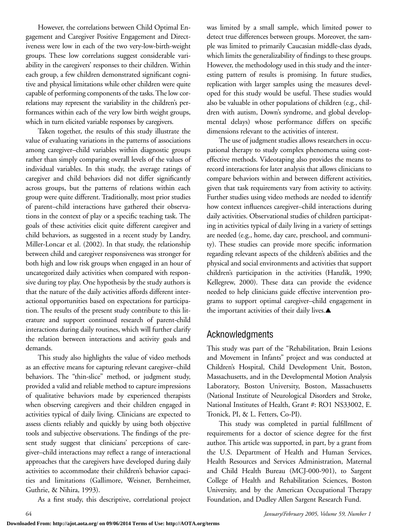However, the correlations between Child Optimal Engagement and Caregiver Positive Engagement and Directiveness were low in each of the two very-low-birth-weight groups. These low correlations suggest considerable variability in the caregivers' responses to their children. Within each group, a few children demonstrated significant cognitive and physical limitations while other children were quite capable of performing components of the tasks. The low correlations may represent the variability in the children's performances within each of the very low birth weight groups, which in turn elicited variable responses by caregivers.

Taken together, the results of this study illustrate the value of evaluating variations in the patterns of associations among caregiver–child variables within diagnostic groups rather than simply comparing overall levels of the values of individual variables. In this study, the average ratings of caregiver and child behaviors did not differ significantly across groups, but the patterns of relations within each group were quite different. Traditionally, most prior studies of parent–child interactions have gathered their observations in the context of play or a specific teaching task. The goals of these activities elicit quite different caregiver and child behaviors, as suggested in a recent study by Landry, Miller-Loncar et al. (2002). In that study, the relationship between child and caregiver responsiveness was stronger for both high and low risk groups when engaged in an hour of uncategorized daily activities when compared with responsive during toy play. One hypothesis by the study authors is that the nature of the daily activities affords different interactional opportunities based on expectations for participation. The results of the present study contribute to this literature and support continued research of parent-child interactions during daily routines, which will further clarify the relation between interactions and activity goals and demands.

This study also highlights the value of video methods as an effective means for capturing relevant caregiver–child behaviors. The "thin-slice" method, or judgment study, provided a valid and reliable method to capture impressions of qualitative behaviors made by experienced therapists when observing caregivers and their children engaged in activities typical of daily living. Clinicians are expected to assess clients reliably and quickly by using both objective tools and subjective observations. The findings of the present study suggest that clinicians' perceptions of caregiver–child interactions may reflect a range of interactional approaches that the caregivers have developed during daily activities to accommodate their children's behavior capacities and limitations (Gallimore, Weisner, Bernheimer, Guthrie, & Nihira, 1993).

As a first study, this descriptive, correlational project

was limited by a small sample, which limited power to detect true differences between groups. Moreover, the sample was limited to primarily Caucasian middle-class dyads, which limits the generalizability of findings to these groups. However, the methodology used in this study and the interesting pattern of results is promising. In future studies, replication with larger samples using the measures developed for this study would be useful. These studies would also be valuable in other populations of children (e.g., children with autism, Down's syndrome, and global developmental delays) whose performance differs on specific dimensions relevant to the activities of interest.

The use of judgment studies allows researchers in occupational therapy to study complex phenomena using costeffective methods. Videotaping also provides the means to record interactions for later analysis that allows clinicians to compare behaviors within and between different activities, given that task requirements vary from activity to activity. Further studies using video methods are needed to identify how context influences caregiver–child interactions during daily activities. Observational studies of children participating in activities typical of daily living in a variety of settings are needed (e.g., home, day care, preschool, and community). These studies can provide more specific information regarding relevant aspects of the children's abilities and the physical and social environments and activities that support children's participation in the activities (Hanzlik, 1990; Kellegrew, 2000). These data can provide the evidence needed to help clinicians guide effective intervention programs to support optimal caregiver–child engagement in the important activities of their daily lives.▲

## Acknowledgments

This study was part of the "Rehabilitation, Brain Lesions and Movement in Infants" project and was conducted at Children's Hospital, Child Development Unit, Boston, Massachusetts, and in the Developmental Motion Analysis Laboratory, Boston University, Boston, Massachusetts (National Institute of Neurological Disorders and Stroke, National Institutes of Health, Grant #: RO1 NS33002, E. Tronick, PI, & L. Fetters, Co-PI).

This study was completed in partial fulfillment of requirements for a doctor of science degree for the first author. This article was supported, in part, by a grant from the U.S. Department of Health and Human Services, Health Resources and Services Administration, Maternal and Child Health Bureau (MCJ-000-901), to Sargent College of Health and Rehabilitation Sciences, Boston University, and by the American Occupational Therapy Foundation, and Dudley Allen Sargent Research Fund.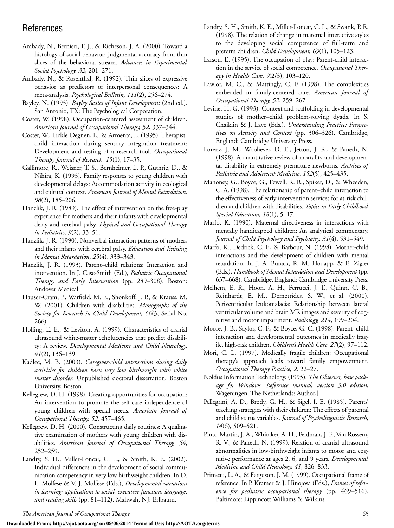## References

- Ambady, N., Bernieri, F. J., & Richeson, J. A. (2000). Toward a histology of social behavior: Judgmental accuracy from thin slices of the behavioral stream. *Advances in Experimental Social Psychology, 32*, 201–271.
- Ambady, N., & Rosenthal, R. (1992). Thin slices of expressive behavior as predictors of interpersonal consequences: A meta-analysis. *Psychological Bulletin, 111*(2), 256–274.
- Bayley, N. (1993). *Bayley Scales of Infant Development* (2nd ed.). San Antonio, TX: The Psychological Corporation.
- Coster, W. (1998). Occupation-centered assessment of children. *American Journal of Occupational Therapy, 52*, 337–344.
- Coster, W., Tickle-Degnen, L., & Armenta, L. (1995). Therapistchild interaction during sensory integration treatment: Development and testing of a research tool. *Occupational Therapy Journal of Research, 15*(1), 17–35.
- Gallimore, R., Weisner, T. S., Bernheimer, L. P., Guthrie, D., & Nihira, K. (1993). Family responses to young children with developmental delays: Accommodation activity in ecological and cultural context. *American Journal of Mental Retardation, 98*(2), 185–206.
- Hanzlik, J. R. (1989). The effect of intervention on the free-play experience for mothers and their infants with developmental delay and cerebral palsy. *Physical and Occupational Therapy in Pediatrics, 9*(2), 33–51.
- Hanzlik, J. R. (1990). Nonverbal interaction patterns of mothers and their infants with cerebral palsy. *Education and Training in Mental Retardation*, *25*(4), 333–343.
- Hanzlik, J. R. (1993). Parent–child relations: Interaction and intervention. In J. Case-Smith (Ed.), *Pediatric Occupational Therapy and Early Intervention* (pp. 289–308). Boston: Andover Medical.
- Hauser-Cram, P., Warfield, M. E., Shonkoff, J. P., & Krauss, M. W. (2001). Children with disabilities. *Monographs of the Society for Research in Child Development, 66*(3, Serial No. 266).
- Holling, E. E., & Leviton, A. (1999). Characteristics of cranial ultrasound white-matter echolucencies that predict disability: A review. *Developmental Medicine and Child Neurology, 41*(2), 136–139.
- Kadlec, M. B. (2003). *Caregiver-child interactions during daily activities for children born very low birthweight with white matter disorder*. Unpublished doctoral dissertation, Boston University, Boston.
- Kellegrew, D. H. (1998). Creating opportunities for occupation: An intervention to promote the self-care independence of young children with special needs. *American Journal of Occupational Therapy, 52*, 457–465.
- Kellegrew, D. H. (2000). Constructing daily routines: A qualitative examination of mothers with young children with disabilities. *American Journal of Occupational Therapy, 54*, 252–259.
- Landry, S. H., Miller-Loncar, C. L., & Smith, K. E. (2002). Individual differences in the development of social communication competency in very low birthweight children. In D. L. Molfese & V. J. Molfese (Eds.), *Developmental variations in learning: applications to social, executive function, language, and reading skills* (pp. 81–112). Mahwah, NJ: Erlbaum.
- Landry, S. H., Smith, K. E., Miller-Loncar, C. L., & Swank, P. R. (1998). The relation of change in maternal interactive styles to the developing social competence of full-term and preterm children. *Child Development, 69*(1), 105–123.
- Larson, E. (1995). The occupation of play: Parent-child interaction in the service of social competence. *Occupational Therapy in Health Care, 9*(2/3), 103–120.
- Lawlor, M. C., & Mattingly, C. F. (1998). The complexities embedded in family-centered care. *American Journal of Occupational Therapy, 52*, 259–267.
- Levine, H. G. (1993). Context and scaffolding in developmental studies of mother–child problem-solving dyads. In S. Chaiklin & J. Lave (Eds.), *Understanding Practice: Perspectives on Activity and Context* (pp. 306–326). Cambridge, England: Cambridge University Press.
- Lorenz, J. M., Wooliever, D. E., Jetton, J. R., & Paneth, N. (1998). A quantitative review of mortality and developmental disability in extremely premature newborns. *Archives of Pediatric and Adolescent Medicine, 152*(5), 425–435.
- Mahoney, G., Boyce, G., Fewell, R. R., Spiker, D., & Wheeden, C. A. (1998). The relationship of parent–child interaction to the effectiveness of early intervention services for at-risk children and children with disabilities. *Topics in Early Childhood Special Education, 18*(1), 5–17.
- Marfo, K. (1990). Maternal directiveness in interactions with mentally handicapped children: An analytical commentary. *Journal of Child Psychology and Psychiatry, 31*(4), 531–549.
- Marfo, K., Dedrick, C. F., & Barbour, N. (1998). Mother-child interactions and the development of children with mental retardation. In J. A. Burack, R. M. Hodapp, & E. Zigler (Eds.), *Handbook of Mental Retardation and Development* (pp. 637–668). Cambridge, England: Cambridge University Press.
- Melhem, E. R., Hoon, A. H., Ferrucci, J. T., Quinn, C. B., Reinhardt, E. M., Demetrides, S. W., et al. (2000). Periventricular leukomalacia: Relationship between lateral ventricular volume and brain MR images and severity of cognitive and motor impairment. *Radiology, 214*, 199–204.
- Moore, J. B., Saylor, C. F., & Boyce, G. C. (1998). Parent–child interaction and developmental outcomes in medically fragile, high-risk children. *Children's Health Care, 27*(2), 97–112.
- Mori, C. L. (1997). Medically fragile children: Occupational therapy's approach leads toward family empowerment. *Occupational Therapy Practice, 2,* 22–27.
- Noldus Information Technology. (1995). *The Observer, base package for Windows. Reference manual, version 3.0 edition.* Wageningen, The Netherlands: Author**.]**
- Pellegrini, A. D., Brody, G. H., & Sigel, I. E. (1985). Parents' teaching strategies with their children: The effects of parental and child status variables. *Journal of Psycholinguistic Research, 14*(6), 509–521.
- Pinto-Martin, J. A., Whitaker, A. H., Feldman, J. F., Van Rossem, R. V., & Paneth, N. (1999). Relation of cranial ultrasound abnormalities in low-birthweight infants to motor and cognitive performance at ages 2, 6, and 9 years. *Developmental Medicine and Child Neurology, 41*, 826–833.
- Primeau, L. A., & Ferguson, J. M. (1999). Occupational frame of reference. In P. Kramer & J. Hinojosa (Eds.), *Frames of reference for pediatric occupational therapy* (pp. 469–516). Baltimore: Lippincott Williams & Wilkins.

*The American Journal of Occupational Therapy* 65